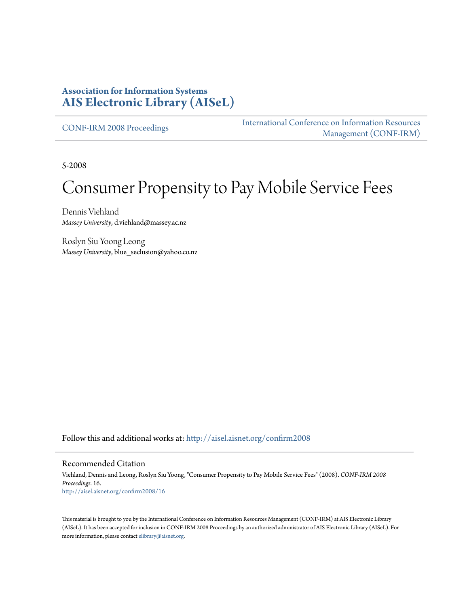#### **Association for Information Systems [AIS Electronic Library \(AISeL\)](http://aisel.aisnet.org?utm_source=aisel.aisnet.org%2Fconfirm2008%2F16&utm_medium=PDF&utm_campaign=PDFCoverPages)**

[CONF-IRM 2008 Proceedings](http://aisel.aisnet.org/confirm2008?utm_source=aisel.aisnet.org%2Fconfirm2008%2F16&utm_medium=PDF&utm_campaign=PDFCoverPages)

[International Conference on Information Resources](http://aisel.aisnet.org/conf-irm?utm_source=aisel.aisnet.org%2Fconfirm2008%2F16&utm_medium=PDF&utm_campaign=PDFCoverPages) [Management \(CONF-IRM\)](http://aisel.aisnet.org/conf-irm?utm_source=aisel.aisnet.org%2Fconfirm2008%2F16&utm_medium=PDF&utm_campaign=PDFCoverPages)

5-2008

# Consumer Propensity to Pay Mobile Service Fees

Dennis Viehland *Massey University*, d.viehland@massey.ac.nz

Roslyn Siu Yoong Leong *Massey University*, blue\_seclusion@yahoo.co.nz

Follow this and additional works at: [http://aisel.aisnet.org/confirm2008](http://aisel.aisnet.org/confirm2008?utm_source=aisel.aisnet.org%2Fconfirm2008%2F16&utm_medium=PDF&utm_campaign=PDFCoverPages)

#### Recommended Citation

Viehland, Dennis and Leong, Roslyn Siu Yoong, "Consumer Propensity to Pay Mobile Service Fees" (2008). *CONF-IRM 2008 Proceedings*. 16. [http://aisel.aisnet.org/confirm2008/16](http://aisel.aisnet.org/confirm2008/16?utm_source=aisel.aisnet.org%2Fconfirm2008%2F16&utm_medium=PDF&utm_campaign=PDFCoverPages)

This material is brought to you by the International Conference on Information Resources Management (CONF-IRM) at AIS Electronic Library (AISeL). It has been accepted for inclusion in CONF-IRM 2008 Proceedings by an authorized administrator of AIS Electronic Library (AISeL). For more information, please contact [elibrary@aisnet.org.](mailto:elibrary@aisnet.org%3E)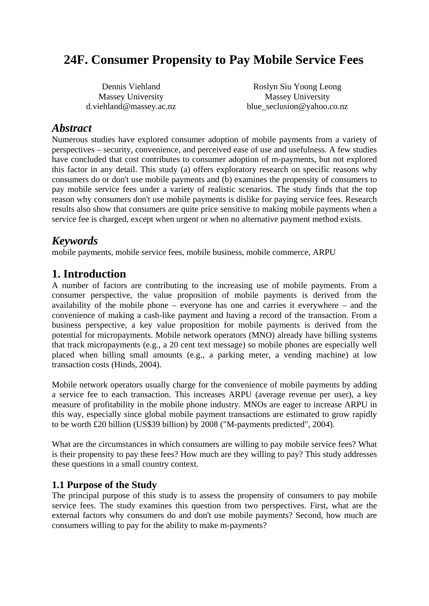## **24F. Consumer Propensity to Pay Mobile Service Fees**

| Dennis Viehland         | Roslyn Siu Yoong Leong     |
|-------------------------|----------------------------|
| Massey University       | Massey University          |
| d.viehland@massey.ac.nz | blue_seclusion@yahoo.co.nz |

#### *Abstract*

Numerous studies have explored consumer adoption of mobile payments from a variety of perspectives – security, convenience, and perceived ease of use and usefulness. A few studies have concluded that cost contributes to consumer adoption of m-payments, but not explored this factor in any detail. This study (a) offers exploratory research on specific reasons why consumers do or don't use mobile payments and (b) examines the propensity of consumers to pay mobile service fees under a variety of realistic scenarios. The study finds that the top reason why consumers don't use mobile payments is dislike for paying service fees. Research results also show that consumers are quite price sensitive to making mobile payments when a service fee is charged, except when urgent or when no alternative payment method exists.

## *Keywords*

mobile payments, mobile service fees, mobile business, mobile commerce, ARPU

## **1. Introduction**

A number of factors are contributing to the increasing use of mobile payments. From a consumer perspective, the value proposition of mobile payments is derived from the availability of the mobile phone – everyone has one and carries it everywhere – and the convenience of making a cash-like payment and having a record of the transaction. From a business perspective, a key value proposition for mobile payments is derived from the potential for micropayments. Mobile network operators (MNO) already have billing systems that track micropayments (e.g., a 20 cent text message) so mobile phones are especially well placed when billing small amounts (e.g., a parking meter, a vending machine) at low transaction costs (Hinds, 2004).

Mobile network operators usually charge for the convenience of mobile payments by adding a service fee to each transaction. This increases ARPU (average revenue per user), a key measure of profitability in the mobile phone industry. MNOs are eager to increase ARPU in this way, especially since global mobile payment transactions are estimated to grow rapidly to be worth £20 billion (US\$39 billion) by 2008 ("M-payments predicted", 2004).

What are the circumstances in which consumers are willing to pay mobile service fees? What is their propensity to pay these fees? How much are they willing to pay? This study addresses these questions in a small country context.

#### **1.1 Purpose of the Study**

The principal purpose of this study is to assess the propensity of consumers to pay mobile service fees. The study examines this question from two perspectives. First, what are the external factors why consumers do and don't use mobile payments? Second, how much are consumers willing to pay for the ability to make m-payments?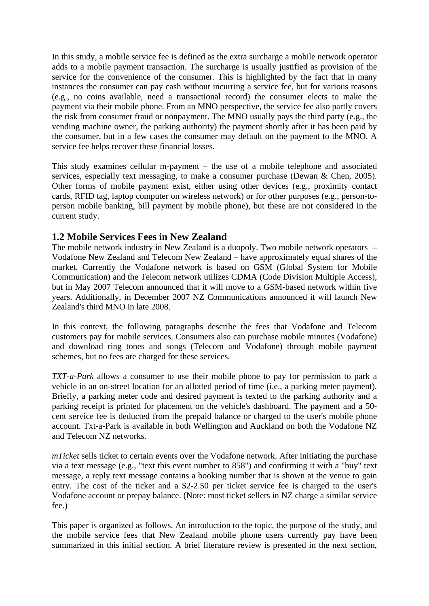In this study, a mobile service fee is defined as the extra surcharge a mobile network operator adds to a mobile payment transaction. The surcharge is usually justified as provision of the service for the convenience of the consumer. This is highlighted by the fact that in many instances the consumer can pay cash without incurring a service fee, but for various reasons (e.g., no coins available, need a transactional record) the consumer elects to make the payment via their mobile phone. From an MNO perspective, the service fee also partly covers the risk from consumer fraud or nonpayment. The MNO usually pays the third party (e.g., the vending machine owner, the parking authority) the payment shortly after it has been paid by the consumer, but in a few cases the consumer may default on the payment to the MNO. A service fee helps recover these financial losses.

This study examines cellular m-payment – the use of a mobile telephone and associated services, especially text messaging, to make a consumer purchase (Dewan & Chen, 2005). Other forms of mobile payment exist, either using other devices (e.g., proximity contact cards, RFID tag, laptop computer on wireless network) or for other purposes (e.g., person-toperson mobile banking, bill payment by mobile phone), but these are not considered in the current study.

#### **1.2 Mobile Services Fees in New Zealand**

The mobile network industry in New Zealand is a duopoly. Two mobile network operators – Vodafone New Zealand and Telecom New Zealand – have approximately equal shares of the market. Currently the Vodafone network is based on GSM (Global System for Mobile Communication) and the Telecom network utilizes CDMA (Code Division Multiple Access), but in May 2007 Telecom announced that it will move to a GSM-based network within five years. Additionally, in December 2007 NZ Communications announced it will launch New Zealand's third MNO in late 2008.

In this context, the following paragraphs describe the fees that Vodafone and Telecom customers pay for mobile services. Consumers also can purchase mobile minutes (Vodafone) and download ring tones and songs (Telecom and Vodafone) through mobile payment schemes, but no fees are charged for these services.

*TXT-a-Park* allows a consumer to use their mobile phone to pay for permission to park a vehicle in an on-street location for an allotted period of time (i.e., a parking meter payment). Briefly, a parking meter code and desired payment is texted to the parking authority and a parking receipt is printed for placement on the vehicle's dashboard. The payment and a 50 cent service fee is deducted from the prepaid balance or charged to the user's mobile phone account. Txt-a-Park is available in both Wellington and Auckland on both the Vodafone NZ and Telecom NZ networks.

*mTicket* sells ticket to certain events over the Vodafone network. After initiating the purchase via a text message (e.g., "text this event number to 858") and confirming it with a "buy" text message, a reply text message contains a booking number that is shown at the venue to gain entry. The cost of the ticket and a \$2-2.50 per ticket service fee is charged to the user's Vodafone account or prepay balance. (Note: most ticket sellers in NZ charge a similar service fee.)

This paper is organized as follows. An introduction to the topic, the purpose of the study, and the mobile service fees that New Zealand mobile phone users currently pay have been summarized in this initial section. A brief literature review is presented in the next section,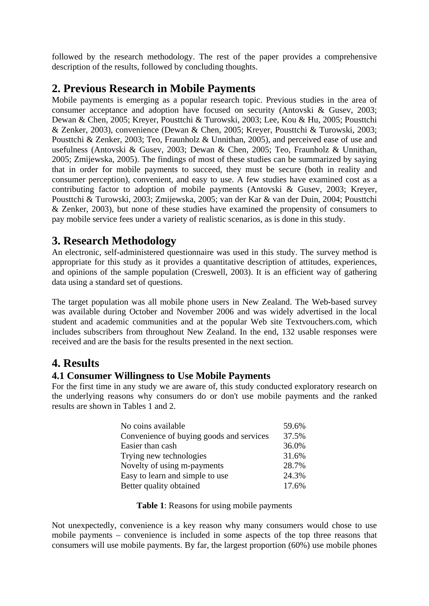followed by the research methodology. The rest of the paper provides a comprehensive description of the results, followed by concluding thoughts.

## **2. Previous Research in Mobile Payments**

Mobile payments is emerging as a popular research topic. Previous studies in the area of consumer acceptance and adoption have focused on security (Antovski & Gusev, 2003; Dewan & Chen, 2005; Kreyer, Pousttchi & Turowski, 2003; Lee, Kou & Hu, 2005; Pousttchi & Zenker, 2003), convenience (Dewan & Chen, 2005; Kreyer, Pousttchi & Turowski, 2003; Pousttchi & Zenker, 2003; Teo, Fraunholz & Unnithan, 2005), and perceived ease of use and usefulness (Antovski & Gusev, 2003; Dewan & Chen, 2005; Teo, Fraunholz & Unnithan, 2005; Zmijewska, 2005). The findings of most of these studies can be summarized by saying that in order for mobile payments to succeed, they must be secure (both in reality and consumer perception), convenient, and easy to use. A few studies have examined cost as a contributing factor to adoption of mobile payments (Antovski & Gusev, 2003; Kreyer, Pousttchi & Turowski, 2003; Zmijewska, 2005; van der Kar & van der Duin, 2004; Pousttchi & Zenker, 2003), but none of these studies have examined the propensity of consumers to pay mobile service fees under a variety of realistic scenarios, as is done in this study.

## **3. Research Methodology**

An electronic, self-administered questionnaire was used in this study. The survey method is appropriate for this study as it provides a quantitative description of attitudes, experiences, and opinions of the sample population (Creswell, 2003). It is an efficient way of gathering data using a standard set of questions.

The target population was all mobile phone users in New Zealand. The Web-based survey was available during October and November 2006 and was widely advertised in the local student and academic communities and at the popular Web site Textvouchers.com, which includes subscribers from throughout New Zealand. In the end, 132 usable responses were received and are the basis for the results presented in the next section.

## **4. Results**

#### **4.1 Consumer Willingness to Use Mobile Payments**

For the first time in any study we are aware of, this study conducted exploratory research on the underlying reasons why consumers do or don't use mobile payments and the ranked results are shown in Tables 1 and 2.

| No coins available                       | 59.6% |
|------------------------------------------|-------|
| Convenience of buying goods and services | 37.5% |
| Easier than cash                         | 36.0% |
| Trying new technologies                  | 31.6% |
| Novelty of using m-payments              | 28.7% |
| Easy to learn and simple to use          | 24.3% |
| Better quality obtained                  | 17.6% |

**Table 1**: Reasons for using mobile payments

Not unexpectedly, convenience is a key reason why many consumers would chose to use mobile payments – convenience is included in some aspects of the top three reasons that consumers will use mobile payments. By far, the largest proportion (60%) use mobile phones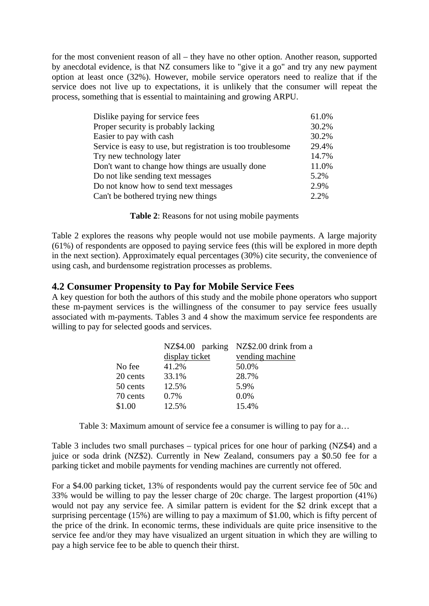for the most convenient reason of all – they have no other option. Another reason, supported by anecdotal evidence, is that NZ consumers like to "give it a go" and try any new payment option at least once (32%). However, mobile service operators need to realize that if the service does not live up to expectations, it is unlikely that the consumer will repeat the process, something that is essential to maintaining and growing ARPU.

| Dislike paying for service fees                             | 61.0% |
|-------------------------------------------------------------|-------|
| Proper security is probably lacking                         | 30.2% |
| Easier to pay with cash                                     | 30.2% |
| Service is easy to use, but registration is too troublesome | 29.4% |
| Try new technology later                                    | 14.7% |
| Don't want to change how things are usually done            | 11.0% |
| Do not like sending text messages                           | 5.2%  |
| Do not know how to send text messages                       | 2.9%  |
| Can't be bothered trying new things                         | 2.2%  |

**Table 2**: Reasons for not using mobile payments

Table 2 explores the reasons why people would not use mobile payments. A large majority (61%) of respondents are opposed to paying service fees (this will be explored in more depth in the next section). Approximately equal percentages (30%) cite security, the convenience of using cash, and burdensome registration processes as problems.

#### **4.2 Consumer Propensity to Pay for Mobile Service Fees**

A key question for both the authors of this study and the mobile phone operators who support these m-payment services is the willingness of the consumer to pay service fees usually associated with m-payments. Tables 3 and 4 show the maximum service fee respondents are willing to pay for selected goods and services.

|          |                | NZ\$4.00 parking NZ\$2.00 drink from a |
|----------|----------------|----------------------------------------|
|          | display ticket | vending machine                        |
| No fee   | 41.2%          | 50.0%                                  |
| 20 cents | 33.1%          | 28.7%                                  |
| 50 cents | 12.5%          | 5.9%                                   |
| 70 cents | 0.7%           | 0.0%                                   |
| \$1.00   | 12.5%          | 15.4%                                  |

Table 3: Maximum amount of service fee a consumer is willing to pay for a…

Table 3 includes two small purchases – typical prices for one hour of parking (NZ\$4) and a juice or soda drink (NZ\$2). Currently in New Zealand, consumers pay a \$0.50 fee for a parking ticket and mobile payments for vending machines are currently not offered.

For a \$4.00 parking ticket, 13% of respondents would pay the current service fee of 50c and 33% would be willing to pay the lesser charge of 20c charge. The largest proportion (41%) would not pay any service fee. A similar pattern is evident for the \$2 drink except that a surprising percentage (15%) are willing to pay a maximum of \$1.00, which is fifty percent of the price of the drink. In economic terms, these individuals are quite price insensitive to the service fee and/or they may have visualized an urgent situation in which they are willing to pay a high service fee to be able to quench their thirst.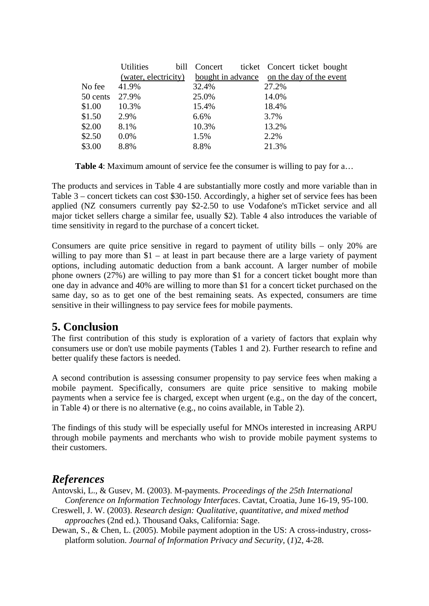|          | <b>Utilities</b>     |       | bill Concert ticket Concert ticket bought        |
|----------|----------------------|-------|--------------------------------------------------|
|          | (water, electricity) |       | <u>bought in advance on the day of the event</u> |
| No fee   | 41.9%                | 32.4% | 27.2%                                            |
| 50 cents | 27.9%                | 25.0% | 14.0%                                            |
| \$1.00   | 10.3%                | 15.4% | 18.4%                                            |
| \$1.50   | 2.9%                 | 6.6%  | 3.7%                                             |
| \$2.00   | 8.1%                 | 10.3% | 13.2%                                            |
| \$2.50   | $0.0\%$              | 1.5%  | 2.2%                                             |
| \$3.00   | 8.8%                 | 8.8%  | 21.3%                                            |

**Table 4**: Maximum amount of service fee the consumer is willing to pay for a…

The products and services in Table 4 are substantially more costly and more variable than in Table 3 – concert tickets can cost \$30-150. Accordingly, a higher set of service fees has been applied (NZ consumers currently pay \$2-2.50 to use Vodafone's mTicket service and all major ticket sellers charge a similar fee, usually \$2). Table 4 also introduces the variable of time sensitivity in regard to the purchase of a concert ticket.

Consumers are quite price sensitive in regard to payment of utility bills – only 20% are willing to pay more than  $$1 - at least in part because there are a large variety of payment$ options, including automatic deduction from a bank account. A larger number of mobile phone owners (27%) are willing to pay more than \$1 for a concert ticket bought more than one day in advance and 40% are willing to more than \$1 for a concert ticket purchased on the same day, so as to get one of the best remaining seats. As expected, consumers are time sensitive in their willingness to pay service fees for mobile payments.

## **5. Conclusion**

The first contribution of this study is exploration of a variety of factors that explain why consumers use or don't use mobile payments (Tables 1 and 2). Further research to refine and better qualify these factors is needed.

A second contribution is assessing consumer propensity to pay service fees when making a mobile payment. Specifically, consumers are quite price sensitive to making mobile payments when a service fee is charged, except when urgent (e.g., on the day of the concert, in Table 4) or there is no alternative (e.g., no coins available, in Table 2).

The findings of this study will be especially useful for MNOs interested in increasing ARPU through mobile payments and merchants who wish to provide mobile payment systems to their customers.

## *References*

Antovski, L., & Gusev, M. (2003). M-payments. *Proceedings of the 25th International Conference on Information Technology Interfaces*. Cavtat, Croatia, June 16-19, 95-100.

- Creswell, J. W. (2003). *Research design: Qualitative, quantitative, and mixed method approache*s (2nd ed.). Thousand Oaks, California: Sage.
- Dewan, S., & Chen, L. (2005). Mobile payment adoption in the US: A cross-industry, crossplatform solution. *Journal of Information Privacy and Security*, (*1*)2, 4-28.